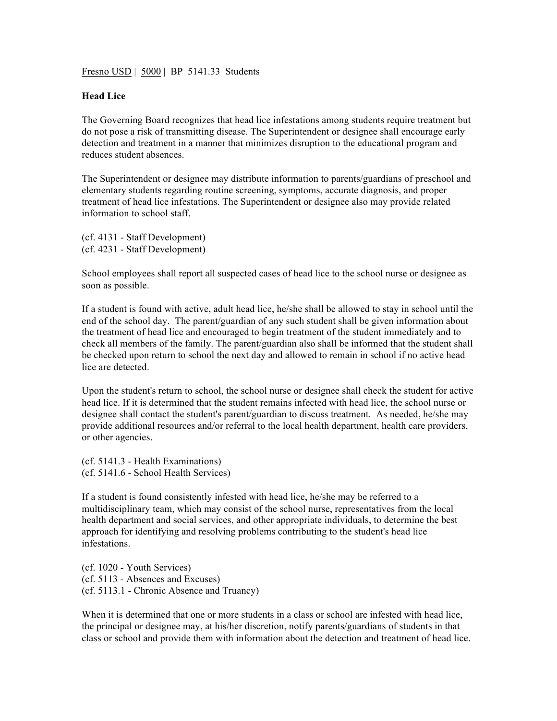Fresno USD | 5000 | BP 5141.33 Students

## **Head Lice**

The Governing Board recognizes that head lice infestations among students require treatment but do not pose a risk of transmitting disease. The Superintendent or designee shall encourage early detection and treatment in a manner that minimizes disruption to the educational program and reduces student absences.

The Superintendent or designee may distribute information to parents/guardians of preschool and elementary students regarding routine screening, symptoms, accurate diagnosis, and proper treatment of head lice infestations. The Superintendent or designee also may provide related information to school staff.

(cf. 4131 - Staff Development) (cf. 4231 - Staff Development)

School employees shall report all suspected cases of head lice to the school nurse or designee as soon as possible.

If a student is found with active, adult head lice, he/she shall be allowed to stay in school until the end of the school day. The parent/guardian of any such student shall be given information about the treatment of head lice and encouraged to begin treatment of the student immediately and to check all members of the family. The parent/guardian also shall be informed that the student shall be checked upon return to school the next day and allowed to remain in school if no active head lice are detected.

Upon the student's return to school, the school nurse or designee shall check the student for active head lice. If it is determined that the student remains infected with head lice, the school nurse or designee shall contact the student's parent/guardian to discuss treatment. As needed, he/she may provide additional resources and/or referral to the local health department, health care providers, or other agencies.

(cf. 5141.3 - Health Examinations) (cf. 5141.6 - School Health Services)

If a student is found consistently infested with head lice, he/she may be referred to a multidisciplinary team, which may consist of the school nurse, representatives from the local health department and social services, and other appropriate individuals, to determine the best approach for identifying and resolving problems contributing to the student's head lice infestations.

(cf. 1020 - Youth Services) (cf. 5113 - Absences and Excuses) (cf. 5113.1 - Chronic Absence and Truancy)

When it is determined that one or more students in a class or school are infested with head lice, the principal or designee may, at his/her discretion, notify parents/guardians of students in that class or school and provide them with information about the detection and treatment of head lice.